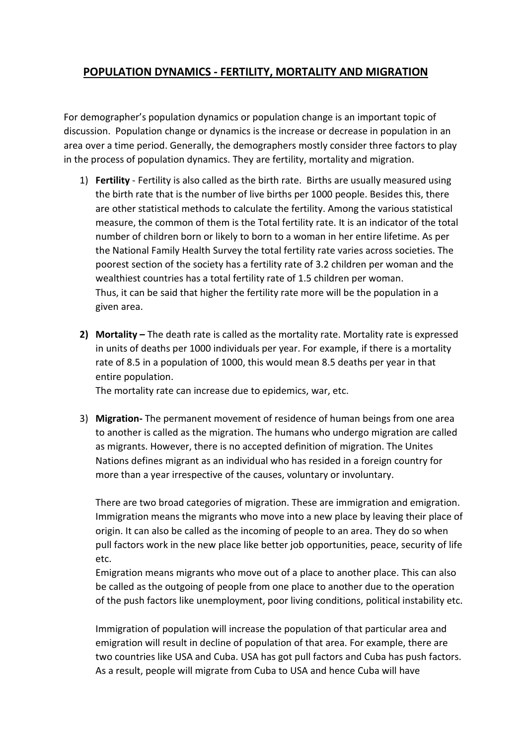## **POPULATION DYNAMICS - FERTILITY, MORTALITY AND MIGRATION**

For demographer's population dynamics or population change is an important topic of discussion. Population change or dynamics is the increase or decrease in population in an area over a time period. Generally, the demographers mostly consider three factors to play in the process of population dynamics. They are fertility, mortality and migration.

- 1) **Fertility** Fertility is also called as the birth rate. Births are usually measured using the birth rate that is the number of live births per 1000 people. Besides this, there are other statistical methods to calculate the fertility. Among the various statistical measure, the common of them is the Total fertility rate. It is an indicator of the total number of children born or likely to born to a woman in her entire lifetime. As per the National Family Health Survey the total fertility rate varies across societies. The poorest section of the society has a fertility rate of 3.2 children per woman and the wealthiest countries has a total fertility rate of 1.5 children per woman. Thus, it can be said that higher the fertility rate more will be the population in a given area.
- **2) Mortality –** The death rate is called as the mortality rate. Mortality rate is expressed in units of deaths per 1000 individuals per year. For example, if there is a mortality rate of 8.5 in a population of 1000, this would mean 8.5 deaths per year in that entire population.

The mortality rate can increase due to epidemics, war, etc.

3) **Migration-** The permanent movement of residence of human beings from one area to another is called as the migration. The humans who undergo migration are called as migrants. However, there is no accepted definition of migration. The Unites Nations defines migrant as an individual who has resided in a foreign country for more than a year irrespective of the causes, voluntary or involuntary.

There are two broad categories of migration. These are immigration and emigration. Immigration means the migrants who move into a new place by leaving their place of origin. It can also be called as the incoming of people to an area. They do so when pull factors work in the new place like better job opportunities, peace, security of life etc.

Emigration means migrants who move out of a place to another place. This can also be called as the outgoing of people from one place to another due to the operation of the push factors like unemployment, poor living conditions, political instability etc.

Immigration of population will increase the population of that particular area and emigration will result in decline of population of that area. For example, there are two countries like USA and Cuba. USA has got pull factors and Cuba has push factors. As a result, people will migrate from Cuba to USA and hence Cuba will have